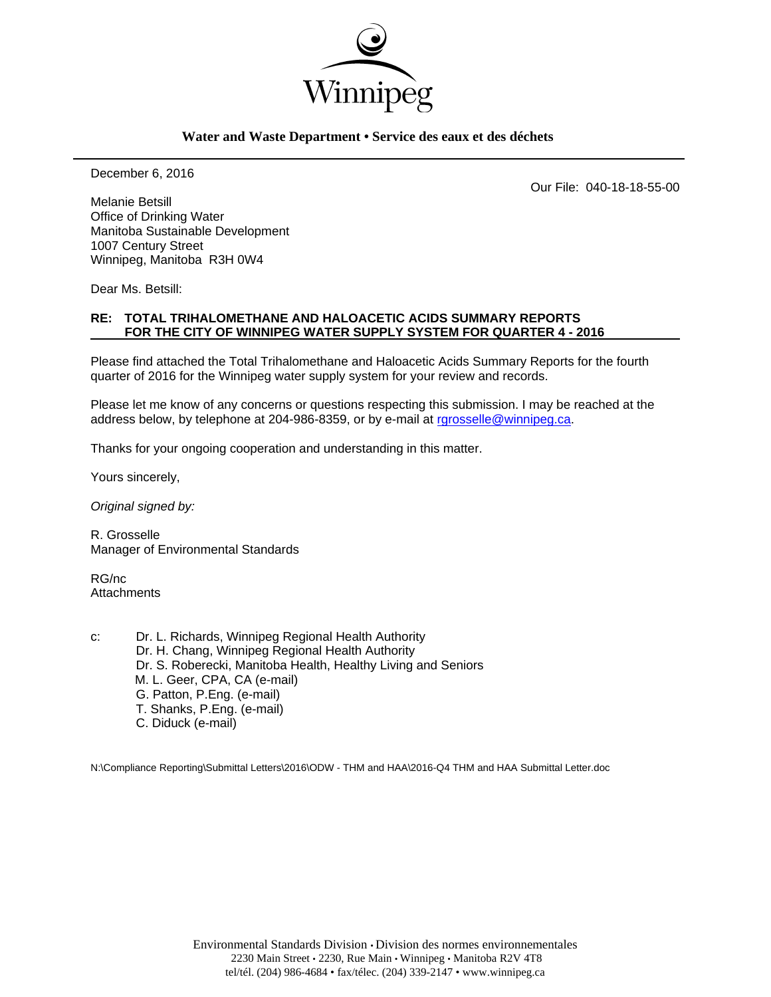

#### **Water and Waste Department • Service des eaux et des déchets**

December 6, 2016

Our File: 040-18-18-55-00

Melanie Betsill Office of Drinking Water Manitoba Sustainable Development 1007 Century Street Winnipeg, Manitoba R3H 0W4

Dear Ms. Betsill:

### **RE: TOTAL TRIHALOMETHANE AND HALOACETIC ACIDS SUMMARY REPORTS FOR THE CITY OF WINNIPEG WATER SUPPLY SYSTEM FOR QUARTER 4 - 2016**

Please find attached the Total Trihalomethane and Haloacetic Acids Summary Reports for the fourth quarter of 2016 for the Winnipeg water supply system for your review and records.

Please let me know of any concerns or questions respecting this submission. I may be reached at the address below, by telephone at 204-986-8359, or by e-mail at rgrosselle@winnipeg.ca.

Thanks for your ongoing cooperation and understanding in this matter.

Yours sincerely,

*Original signed by:* 

R. Grosselle Manager of Environmental Standards

RG/nc **Attachments** 

c: Dr. L. Richards, Winnipeg Regional Health Authority Dr. H. Chang, Winnipeg Regional Health Authority Dr. S. Roberecki, Manitoba Health, Healthy Living and Seniors M. L. Geer, CPA, CA (e-mail) G. Patton, P.Eng. (e-mail) T. Shanks, P.Eng. (e-mail) C. Diduck (e-mail)

N:\Compliance Reporting\Submittal Letters\2016\ODW - THM and HAA\2016-Q4 THM and HAA Submittal Letter.doc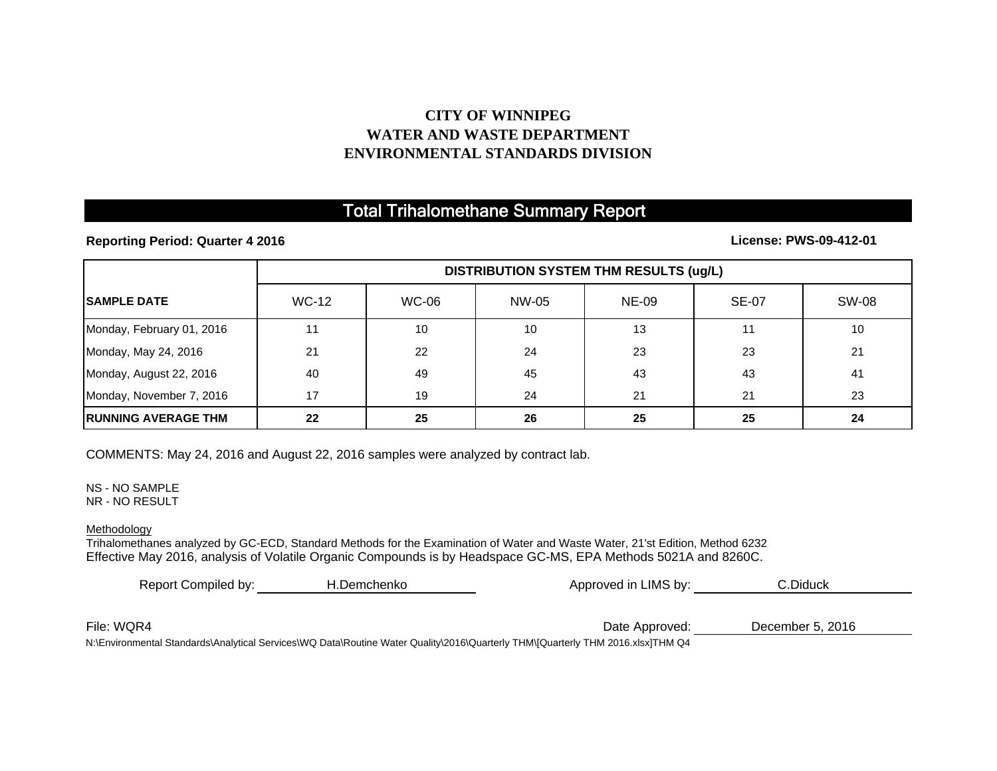## **CITY OF WINNIPEG WATER AND WASTE DEPARTMENTENVIRONMENTAL STANDARDS DIVISION**

## Total Trihalomethane Summary Report

**Reporting Period: Quarter 4 2016**

**License: PWS-09-412-01**

|                             | <b>DISTRIBUTION SYSTEM THM RESULTS (ug/L)</b> |              |       |              |              |       |
|-----------------------------|-----------------------------------------------|--------------|-------|--------------|--------------|-------|
| <b>ISAMPLE DATE</b>         | WC-12                                         | <b>WC-06</b> | NW-05 | <b>NE-09</b> | <b>SE-07</b> | SW-08 |
| Monday, February 01, 2016   |                                               | 10           | 10    | 13           | 11           | 10    |
| Monday, May 24, 2016        | 21                                            | 22           | 24    | 23           | 23           | 21    |
| Monday, August 22, 2016     | 40                                            | 49           | 45    | 43           | 43           | 41    |
| Monday, November 7, 2016    | 17                                            | 19           | 24    | 21           | 21           | 23    |
| <b>IRUNNING AVERAGE THM</b> | 22                                            | 25           | 26    | 25           | 25           | 24    |

COMMENTS: May 24, 2016 and August 22, 2016 samples were analyzed by contract lab.

NS - NO SAMPLENR - NO RESULT

Methodology

Trihalomethanes analyzed by GC-ECD, Standard Methods for the Examination of Water and Waste Water, 21'st Edition, Method 6232 Effective May 2016, analysis of Volatile Organic Compounds is by Headspace GC-MS, EPA Methods 5021A and 8260C.

| Report Compiled by:                                                                                                             | H.Demchenko | Approved in LIMS by: | C.Diduck         |  |
|---------------------------------------------------------------------------------------------------------------------------------|-------------|----------------------|------------------|--|
|                                                                                                                                 |             |                      |                  |  |
| File: WQR4                                                                                                                      |             | Date Approved:       | December 5, 2016 |  |
| N:\Environmental Standards\Analytical Services\WQ Data\Routine Water Quality\2016\Quarterly THM\[Quarterly THM 2016.xlsx]THM Q4 |             |                      |                  |  |